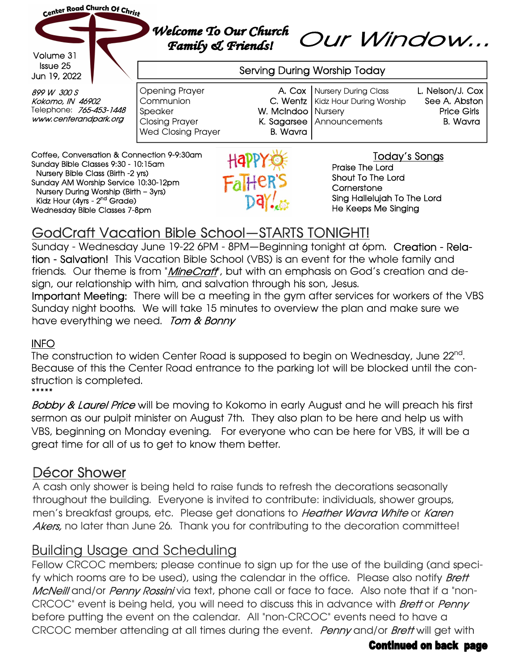

# GodCraft Vacation Bible School—STARTS TONIGHT!

Sunday - Wednesday June 19-22 6PM - 8PM—Beginning tonight at 6pm. Creation - Relation - Salvation! This Vacation Bible School (VBS) is an event for the whole family and friends. Our theme is from "*MineCraft*", but with an emphasis on God's creation and design, our relationship with him, and salvation through his son, Jesus.

Important Meeting: There will be a meeting in the gym after services for workers of the VBS Sunday night booths. We will take 15 minutes to overview the plan and make sure we have everything we need. Tom & Bonny

## INFO

The construction to widen Center Road is supposed to begin on Wednesday, June 22<sup>nd</sup>. Because of this the Center Road entrance to the parking lot will be blocked until the construction is completed. \*\*\*\*\*

**Bobby & Laurel Price** will be moving to Kokomo in early August and he will preach his first sermon as our pulpit minister on August 7th. They also plan to be here and help us with VBS, beginning on Monday evening. For everyone who can be here for VBS, it will be a great time for all of us to get to know them better.

# Décor Shower

A cash only shower is being held to raise funds to refresh the decorations seasonally throughout the building. Everyone is invited to contribute: individuals, shower groups, men's breakfast groups, etc. Please get donations to Heather Wavra White or Karen Akers, no later than June 26. Thank you for contributing to the decoration committee!

# Building Usage and Scheduling

Fellow CRCOC members; please continue to sign up for the use of the building (and specify which rooms are to be used), using the calendar in the office. Please also notify **Brett** McNeill and/or Penny Rossini via text, phone call or face to face. Also note that if a "non-CRCOC" event is being held, you will need to discuss this in advance with **Brett** or **Penny** before putting the event on the calendar. All "non-CRCOC" events need to have a CRCOC member attending at all times during the event. Penny and/or Brett will get with

## **Continued on back page**